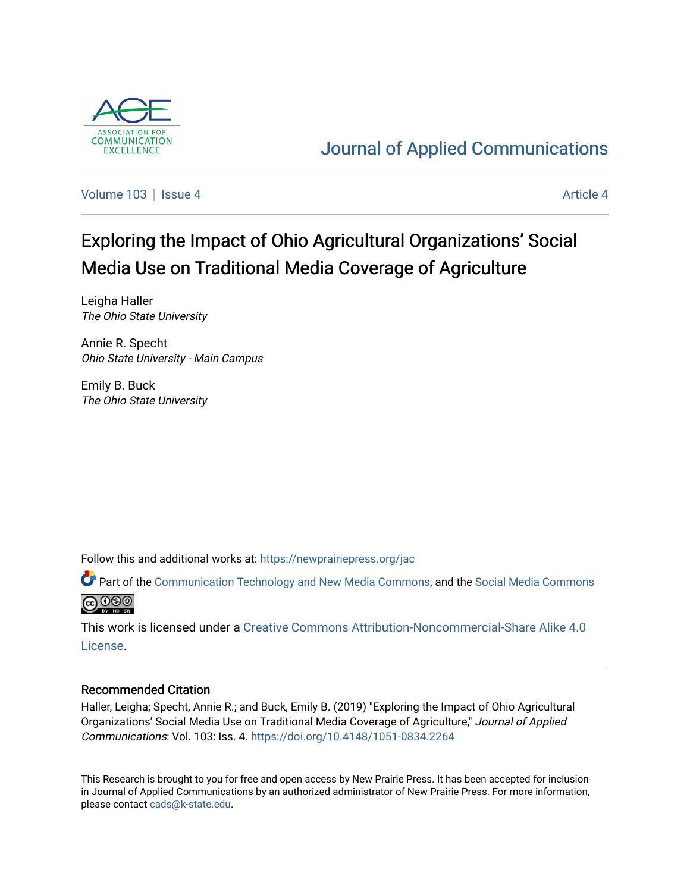

## [Journal of Applied Communications](https://newprairiepress.org/jac)

[Volume 103](https://newprairiepress.org/jac/vol103) | [Issue 4](https://newprairiepress.org/jac/vol103/iss4) [Article 4](https://newprairiepress.org/jac/vol103/iss4/4) Article 4

# Exploring the Impact of Ohio Agricultural Organizations' Social Media Use on Traditional Media Coverage of Agriculture

Leigha Haller The Ohio State University

Annie R. Specht Ohio State University - Main Campus

Emily B. Buck The Ohio State University

Follow this and additional works at: [https://newprairiepress.org/jac](https://newprairiepress.org/jac?utm_source=newprairiepress.org%2Fjac%2Fvol103%2Fiss4%2F4&utm_medium=PDF&utm_campaign=PDFCoverPages)

Part of the [Communication Technology and New Media Commons,](http://network.bepress.com/hgg/discipline/327?utm_source=newprairiepress.org%2Fjac%2Fvol103%2Fiss4%2F4&utm_medium=PDF&utm_campaign=PDFCoverPages) and the [Social Media Commons](http://network.bepress.com/hgg/discipline/1249?utm_source=newprairiepress.org%2Fjac%2Fvol103%2Fiss4%2F4&utm_medium=PDF&utm_campaign=PDFCoverPages)  **@** 000

This work is licensed under a [Creative Commons Attribution-Noncommercial-Share Alike 4.0](https://creativecommons.org/licenses/by-nc-sa/4.0/) [License.](https://creativecommons.org/licenses/by-nc-sa/4.0/)

#### Recommended Citation

Haller, Leigha; Specht, Annie R.; and Buck, Emily B. (2019) "Exploring the Impact of Ohio Agricultural Organizations' Social Media Use on Traditional Media Coverage of Agriculture," Journal of Applied Communications: Vol. 103: Iss. 4. <https://doi.org/10.4148/1051-0834.2264>

This Research is brought to you for free and open access by New Prairie Press. It has been accepted for inclusion in Journal of Applied Communications by an authorized administrator of New Prairie Press. For more information, please contact [cads@k-state.edu.](mailto:cads@k-state.edu)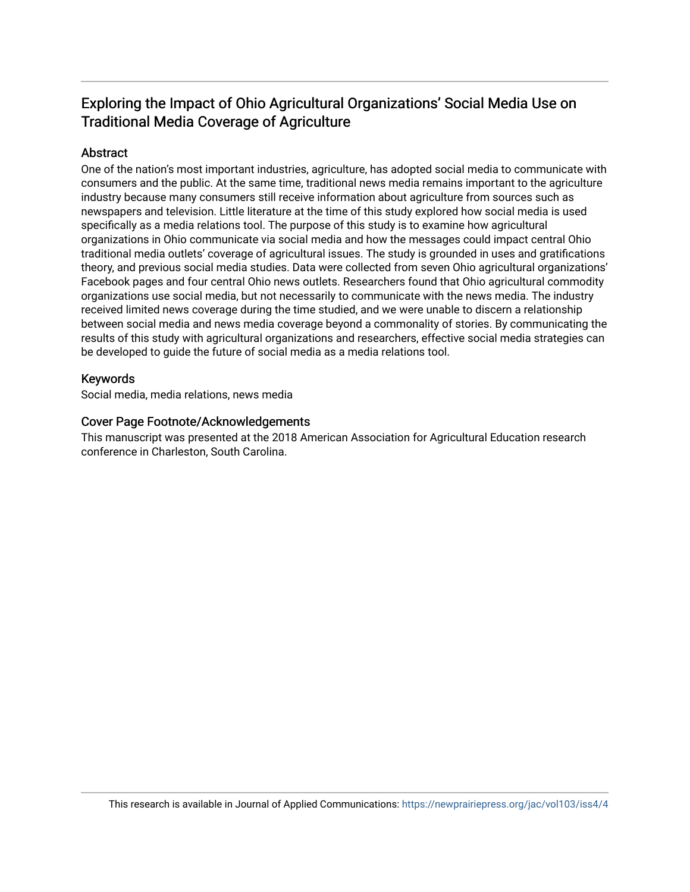### Exploring the Impact of Ohio Agricultural Organizations' Social Media Use on Traditional Media Coverage of Agriculture

#### Abstract

One of the nation's most important industries, agriculture, has adopted social media to communicate with consumers and the public. At the same time, traditional news media remains important to the agriculture industry because many consumers still receive information about agriculture from sources such as newspapers and television. Little literature at the time of this study explored how social media is used specifically as a media relations tool. The purpose of this study is to examine how agricultural organizations in Ohio communicate via social media and how the messages could impact central Ohio traditional media outlets' coverage of agricultural issues. The study is grounded in uses and gratifications theory, and previous social media studies. Data were collected from seven Ohio agricultural organizations' Facebook pages and four central Ohio news outlets. Researchers found that Ohio agricultural commodity organizations use social media, but not necessarily to communicate with the news media. The industry received limited news coverage during the time studied, and we were unable to discern a relationship between social media and news media coverage beyond a commonality of stories. By communicating the results of this study with agricultural organizations and researchers, effective social media strategies can be developed to guide the future of social media as a media relations tool.

#### Keywords

Social media, media relations, news media

#### Cover Page Footnote/Acknowledgements

This manuscript was presented at the 2018 American Association for Agricultural Education research conference in Charleston, South Carolina.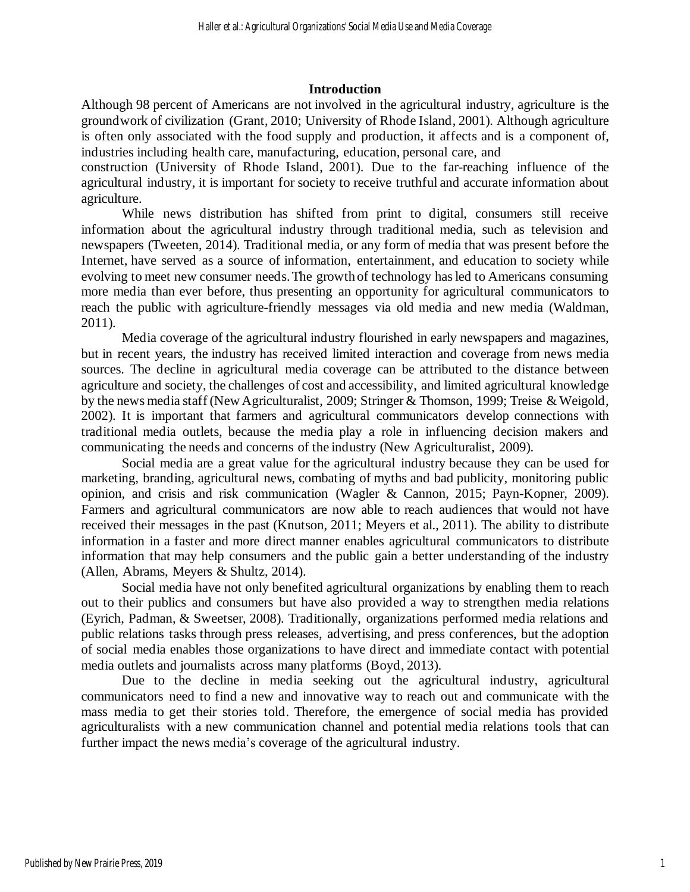#### **Introduction**

Although 98 percent of Americans are not involved in the agricultural industry, agriculture is the groundwork of civilization (Grant, 2010; University of Rhode Island, 2001). Although agriculture is often only associated with the food supply and production, it affects and is a component of, industries including health care, manufacturing, education, personal care, and

construction (University of Rhode Island, 2001). Due to the far-reaching influence of the agricultural industry, it is important for society to receive truthful and accurate information about agriculture.

While news distribution has shifted from print to digital, consumers still receive information about the agricultural industry through traditional media, such as television and newspapers (Tweeten, 2014). Traditional media, or any form of media that was present before the Internet, have served as a source of information, entertainment, and education to society while evolving to meet new consumer needs.The growth of technology hasled to Americans consuming more media than ever before, thus presenting an opportunity for agricultural communicators to reach the public with agriculture-friendly messages via old media and new media (Waldman, 2011).

Media coverage of the agricultural industry flourished in early newspapers and magazines, but in recent years, the industry has received limited interaction and coverage from news media sources. The decline in agricultural media coverage can be attributed to the distance between agriculture and society, the challenges of cost and accessibility, and limited agricultural knowledge by the news media staff (New Agriculturalist, 2009; Stringer & Thomson, 1999; Treise & Weigold, 2002). It is important that farmers and agricultural communicators develop connections with traditional media outlets, because the media play a role in influencing decision makers and communicating the needs and concerns of the industry (New Agriculturalist, 2009).

Social media are a great value for the agricultural industry because they can be used for marketing, branding, agricultural news, combating of myths and bad publicity, monitoring public opinion, and crisis and risk communication (Wagler & Cannon, 2015; Payn-Kopner, 2009). Farmers and agricultural communicators are now able to reach audiences that would not have received their messages in the past (Knutson, 2011; Meyers et al., 2011). The ability to distribute information in a faster and more direct manner enables agricultural communicators to distribute information that may help consumers and the public gain a better understanding of the industry (Allen, Abrams, Meyers & Shultz, 2014).

Social media have not only benefited agricultural organizations by enabling them to reach out to their publics and consumers but have also provided a way to strengthen media relations (Eyrich, Padman, & Sweetser, 2008). Traditionally, organizations performed media relations and public relations tasks through press releases, advertising, and press conferences, but the adoption of social media enables those organizations to have direct and immediate contact with potential media outlets and journalists across many platforms (Boyd, 2013).

Due to the decline in media seeking out the agricultural industry, agricultural communicators need to find a new and innovative way to reach out and communicate with the mass media to get their stories told. Therefore, the emergence of social media has provided agriculturalists with a new communication channel and potential media relations tools that can further impact the news media's coverage of the agricultural industry.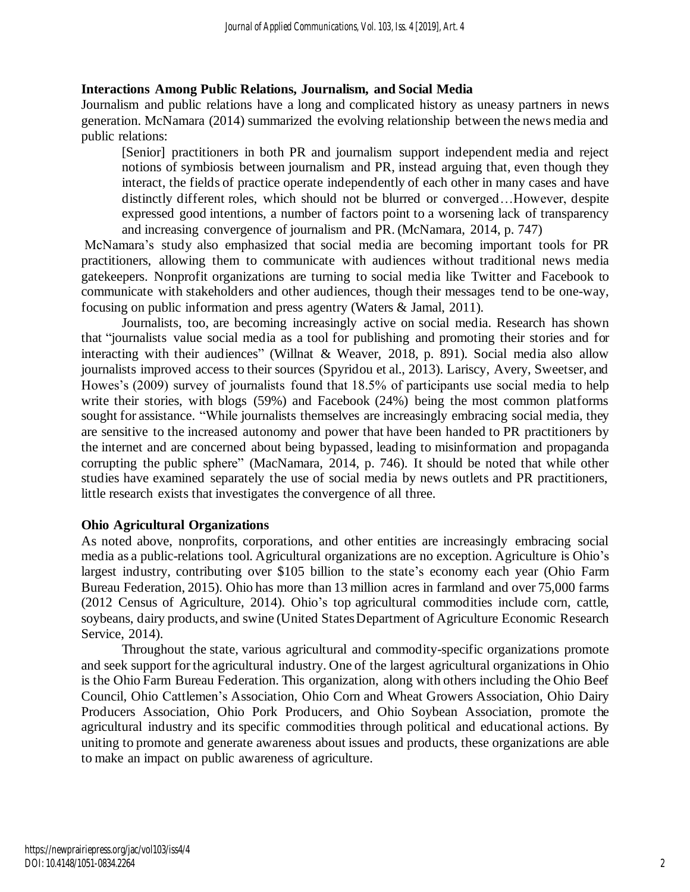#### **Interactions Among Public Relations, Journalism, and Social Media**

Journalism and public relations have a long and complicated history as uneasy partners in news generation. McNamara (2014) summarized the evolving relationship between the news media and public relations:

[Senior] practitioners in both PR and journalism support independent media and reject notions of symbiosis between journalism and PR, instead arguing that, even though they interact, the fields of practice operate independently of each other in many cases and have distinctly different roles, which should not be blurred or converged…However, despite expressed good intentions, a number of factors point to a worsening lack of transparency and increasing convergence of journalism and PR. (McNamara, 2014, p. 747)

McNamara's study also emphasized that social media are becoming important tools for PR practitioners, allowing them to communicate with audiences without traditional news media gatekeepers. Nonprofit organizations are turning to social media like Twitter and Facebook to communicate with stakeholders and other audiences, though their messages tend to be one-way, focusing on public information and press agentry (Waters & Jamal, 2011).

Journalists, too, are becoming increasingly active on social media. Research has shown that "journalists value social media as a tool for publishing and promoting their stories and for interacting with their audiences" (Willnat & Weaver, 2018, p. 891). Social media also allow journalists improved access to their sources (Spyridou et al., 2013). Lariscy, Avery, Sweetser, and Howes's (2009) survey of journalists found that 18.5% of participants use social media to help write their stories, with blogs (59%) and Facebook (24%) being the most common platforms sought for assistance. "While journalists themselves are increasingly embracing social media, they are sensitive to the increased autonomy and power that have been handed to PR practitioners by the internet and are concerned about being bypassed, leading to misinformation and propaganda corrupting the public sphere" (MacNamara, 2014, p. 746). It should be noted that while other studies have examined separately the use of social media by news outlets and PR practitioners, little research exists that investigates the convergence of all three.

#### **Ohio Agricultural Organizations**

As noted above, nonprofits, corporations, and other entities are increasingly embracing social media as a public-relations tool. Agricultural organizations are no exception. Agriculture is Ohio's largest industry, contributing over \$105 billion to the state's economy each year (Ohio Farm Bureau Federation, 2015). Ohio has more than 13 million acres in farmland and over 75,000 farms (2012 Census of Agriculture, 2014). Ohio's top agricultural commodities include corn, cattle, soybeans, dairy products, and swine (United States Department of Agriculture Economic Research Service, 2014).

Throughout the state, various agricultural and commodity-specific organizations promote and seek support for the agricultural industry. One of the largest agricultural organizations in Ohio is the Ohio Farm Bureau Federation. This organization, along with others including the Ohio Beef Council, Ohio Cattlemen's Association, Ohio Corn and Wheat Growers Association, Ohio Dairy Producers Association, Ohio Pork Producers, and Ohio Soybean Association, promote the agricultural industry and its specific commodities through political and educational actions. By uniting to promote and generate awareness about issues and products, these organizations are able to make an impact on public awareness of agriculture.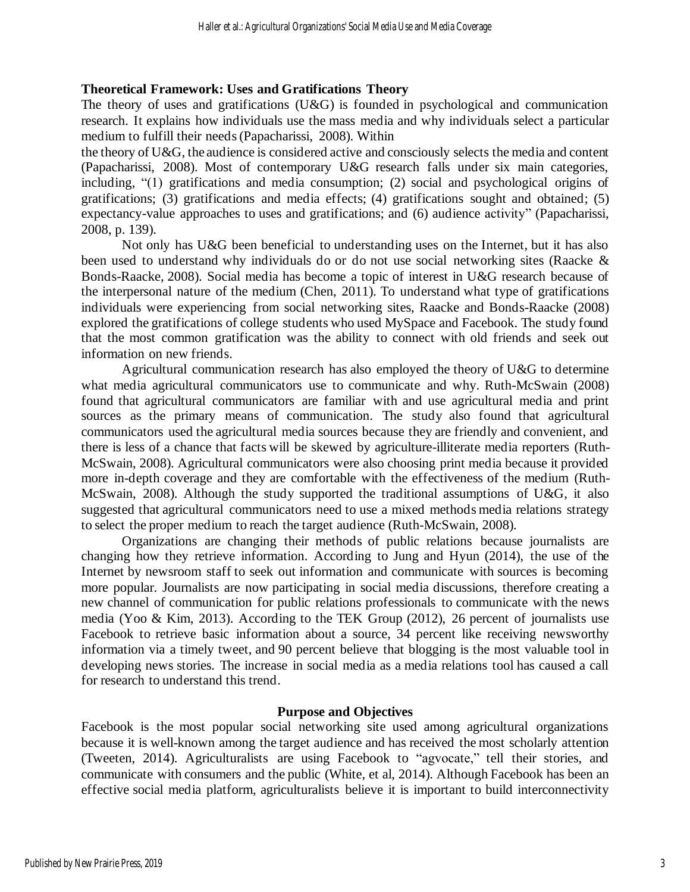#### **Theoretical Framework: Uses and Gratifications Theory**

The theory of uses and gratifications (U&G) is founded in psychological and communication research. It explains how individuals use the mass media and why individuals select a particular medium to fulfill their needs(Papacharissi, 2008). Within

the theory of U&G, the audience is considered active and consciously selects the media and content (Papacharissi, 2008). Most of contemporary U&G research falls under six main categories, including, "(1) gratifications and media consumption; (2) social and psychological origins of gratifications; (3) gratifications and media effects; (4) gratifications sought and obtained; (5) expectancy-value approaches to uses and gratifications; and (6) audience activity" (Papacharissi, 2008, p. 139).

Not only has  $U&G$  been beneficial to understanding uses on the Internet, but it has also been used to understand why individuals do or do not use social networking sites (Raacke & Bonds-Raacke, 2008). Social media has become a topic of interest in U&G research because of the interpersonal nature of the medium (Chen, 2011). To understand what type of gratifications individuals were experiencing from social networking sites, Raacke and Bonds-Raacke (2008) explored the gratifications of college students who used MySpace and Facebook. The study found that the most common gratification was the ability to connect with old friends and seek out information on new friends.

Agricultural communication research has also employed the theory of U&G to determine what media agricultural communicators use to communicate and why. Ruth-McSwain (2008) found that agricultural communicators are familiar with and use agricultural media and print sources as the primary means of communication. The study also found that agricultural communicators used the agricultural media sources because they are friendly and convenient, and there is less of a chance that facts will be skewed by agriculture-illiterate media reporters (Ruth-McSwain, 2008). Agricultural communicators were also choosing print media because it provided more in-depth coverage and they are comfortable with the effectiveness of the medium (Ruth-McSwain, 2008). Although the study supported the traditional assumptions of U&G, it also suggested that agricultural communicators need to use a mixed methods media relations strategy to select the proper medium to reach the target audience (Ruth-McSwain, 2008).

Organizations are changing their methods of public relations because journalists are changing how they retrieve information. According to Jung and Hyun (2014), the use of the Internet by newsroom staff to seek out information and communicate with sources is becoming more popular. Journalists are now participating in social media discussions, therefore creating a new channel of communication for public relations professionals to communicate with the news media (Yoo & Kim, 2013). According to the TEK Group (2012), 26 percent of journalists use Facebook to retrieve basic information about a source, 34 percent like receiving newsworthy information via a timely tweet, and 90 percent believe that blogging is the most valuable tool in developing news stories. The increase in social media as a media relations tool has caused a call for research to understand this trend.

#### **Purpose and Objectives**

Facebook is the most popular social networking site used among agricultural organizations because it is well-known among the target audience and has received the most scholarly attention (Tweeten, 2014). Agriculturalists are using Facebook to "agvocate," tell their stories, and communicate with consumers and the public (White, et al, 2014). Although Facebook has been an effective social media platform, agriculturalists believe it is important to build interconnectivity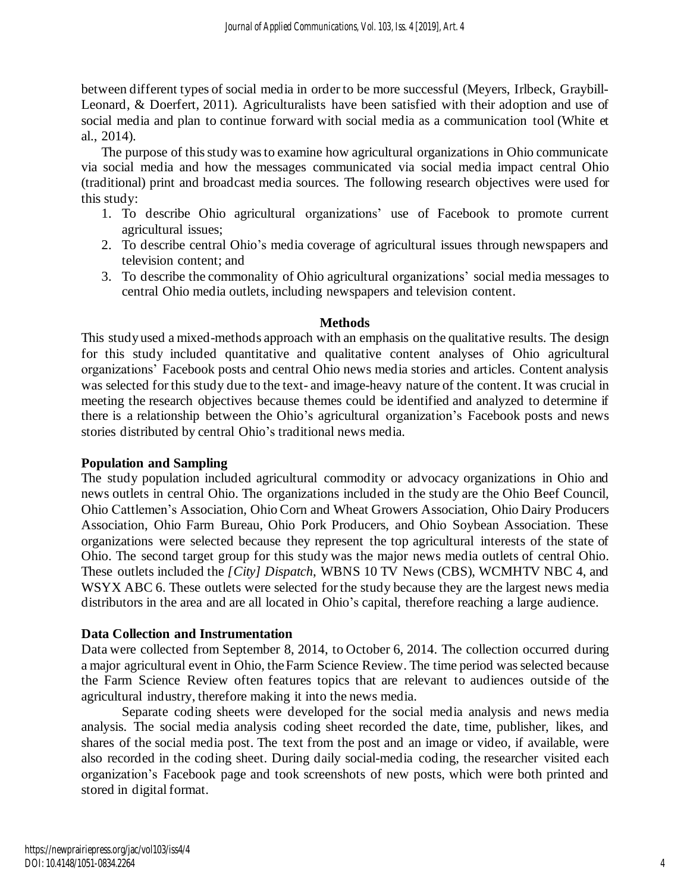between different types of social media in order to be more successful (Meyers, Irlbeck, Graybill-Leonard, & Doerfert, 2011). Agriculturalists have been satisfied with their adoption and use of social media and plan to continue forward with social media as a communication tool (White et al., 2014).

The purpose of this study was to examine how agricultural organizations in Ohio communicate via social media and how the messages communicated via social media impact central Ohio (traditional) print and broadcast media sources. The following research objectives were used for this study:

- 1. To describe Ohio agricultural organizations' use of Facebook to promote current agricultural issues;
- 2. To describe central Ohio's media coverage of agricultural issues through newspapers and television content; and
- 3. To describe the commonality of Ohio agricultural organizations' social media messages to central Ohio media outlets, including newspapers and television content.

#### **Methods**

This study used a mixed-methods approach with an emphasis on the qualitative results. The design for this study included quantitative and qualitative content analyses of Ohio agricultural organizations' Facebook posts and central Ohio news media stories and articles. Content analysis was selected for this study due to the text- and image-heavy nature of the content. It was crucial in meeting the research objectives because themes could be identified and analyzed to determine if there is a relationship between the Ohio's agricultural organization's Facebook posts and news stories distributed by central Ohio's traditional news media.

#### **Population and Sampling**

The study population included agricultural commodity or advocacy organizations in Ohio and news outlets in central Ohio. The organizations included in the study are the Ohio Beef Council, Ohio Cattlemen's Association, Ohio Corn and Wheat Growers Association, Ohio Dairy Producers Association, Ohio Farm Bureau, Ohio Pork Producers, and Ohio Soybean Association. These organizations were selected because they represent the top agricultural interests of the state of Ohio. The second target group for this study was the major news media outlets of central Ohio. These outlets included the *[City] Dispatch*, WBNS 10 TV News (CBS), WCMHTV NBC 4, and WSYX ABC 6. These outlets were selected for the study because they are the largest news media distributors in the area and are all located in Ohio's capital, therefore reaching a large audience.

#### **Data Collection and Instrumentation**

Data were collected from September 8, 2014, to October 6, 2014. The collection occurred during a major agricultural event in Ohio, theFarm Science Review. The time period wasselected because the Farm Science Review often features topics that are relevant to audiences outside of the agricultural industry, therefore making it into the news media.

Separate coding sheets were developed for the social media analysis and news media analysis. The social media analysis coding sheet recorded the date, time, publisher, likes, and shares of the social media post. The text from the post and an image or video, if available, were also recorded in the coding sheet. During daily social-media coding, the researcher visited each organization's Facebook page and took screenshots of new posts, which were both printed and stored in digital format.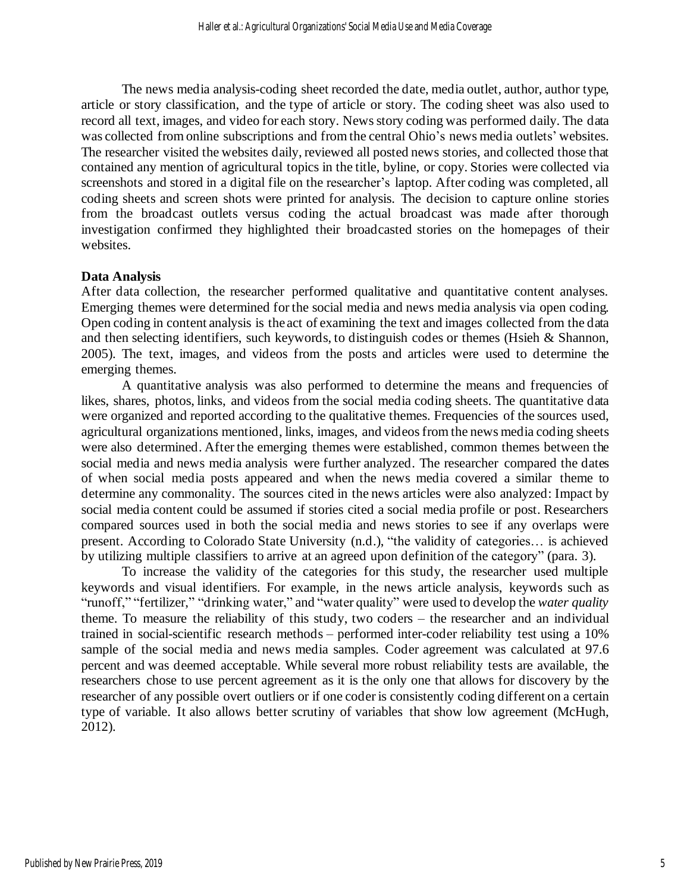The news media analysis-coding sheet recorded the date, media outlet, author, author type, article or story classification, and the type of article or story. The coding sheet was also used to record all text, images, and video for each story. Newsstory coding was performed daily. The data was collected from online subscriptions and from the central Ohio's news media outlets' websites. The researcher visited the websites daily, reviewed all posted news stories, and collected those that contained any mention of agricultural topics in the title, byline, or copy. Stories were collected via screenshots and stored in a digital file on the researcher's laptop. After coding was completed, all coding sheets and screen shots were printed for analysis. The decision to capture online stories from the broadcast outlets versus coding the actual broadcast was made after thorough investigation confirmed they highlighted their broadcasted stories on the homepages of their websites.

#### **Data Analysis**

After data collection, the researcher performed qualitative and quantitative content analyses. Emerging themes were determined for the social media and news media analysis via open coding. Open coding in content analysis is the act of examining the text and images collected from the data and then selecting identifiers, such keywords, to distinguish codes or themes (Hsieh & Shannon, 2005). The text, images, and videos from the posts and articles were used to determine the emerging themes.

A quantitative analysis was also performed to determine the means and frequencies of likes, shares, photos, links, and videos from the social media coding sheets. The quantitative data were organized and reported according to the qualitative themes. Frequencies of the sources used, agricultural organizations mentioned, links, images, and videos from the news media coding sheets were also determined. After the emerging themes were established, common themes between the social media and news media analysis were further analyzed. The researcher compared the dates of when social media posts appeared and when the news media covered a similar theme to determine any commonality. The sources cited in the news articles were also analyzed: Impact by social media content could be assumed if stories cited a social media profile or post. Researchers compared sources used in both the social media and news stories to see if any overlaps were present. According to Colorado State University (n.d.), "the validity of categories… is achieved by utilizing multiple classifiers to arrive at an agreed upon definition of the category" (para. 3).

To increase the validity of the categories for this study, the researcher used multiple keywords and visual identifiers. For example, in the news article analysis, keywords such as "runoff," "fertilizer," "drinking water," and "water quality" were used to develop the *water quality* theme. To measure the reliability of this study, two coders – the researcher and an individual trained in social-scientific research methods – performed inter-coder reliability test using a 10% sample of the social media and news media samples. Coder agreement was calculated at 97.6 percent and was deemed acceptable. While several more robust reliability tests are available, the researchers chose to use percent agreement as it is the only one that allows for discovery by the researcher of any possible overt outliers or if one coder is consistently coding different on a certain type of variable. It also allows better scrutiny of variables that show low agreement (McHugh, 2012).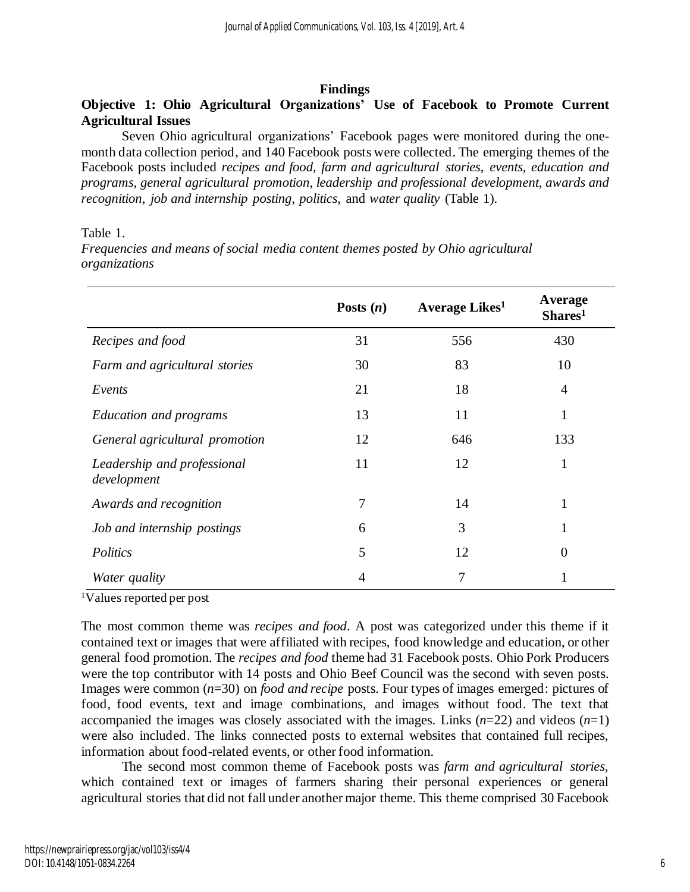#### **Findings**

#### **Objective 1: Ohio Agricultural Organizations' Use of Facebook to Promote Current Agricultural Issues**

Seven Ohio agricultural organizations' Facebook pages were monitored during the onemonth data collection period, and 140 Facebook posts were collected. The emerging themes of the Facebook posts included *recipes and food*, *farm and agricultural stories*, *events*, *education and programs*, *general agricultural promotion*, *leadership and professional development*, *awards and recognition*, *job and internship posting*, *politics*, and *water quality* (Table 1).

#### Table 1.

*Frequencies and means of social media content themes posted by Ohio agricultural organizations*

|                                            | Posts $(n)$    | Average Likes <sup>1</sup> | Average<br>Shares <sup>1</sup> |
|--------------------------------------------|----------------|----------------------------|--------------------------------|
| Recipes and food                           | 31             | 556                        | 430                            |
| Farm and agricultural stories              | 30             | 83                         | 10                             |
| Events                                     | 21             | 18                         | 4                              |
| <b>Education and programs</b>              | 13             | 11                         | 1                              |
| General agricultural promotion             | 12             | 646                        | 133                            |
| Leadership and professional<br>development | 11             | 12                         | 1                              |
| Awards and recognition                     | 7              | 14                         | 1                              |
| Job and internship postings                | 6              | 3                          |                                |
| Politics                                   | 5              | 12                         | 0                              |
| <i>Water quality</i>                       | $\overline{4}$ | 7                          |                                |

<sup>1</sup>Values reported per post

The most common theme was *recipes and food*. A post was categorized under this theme if it contained text or images that were affiliated with recipes, food knowledge and education, or other general food promotion. The *recipes and food* theme had 31 Facebook posts. Ohio Pork Producers were the top contributor with 14 posts and Ohio Beef Council was the second with seven posts. Images were common (*n*=30) on *food and recipe* posts. Four types of images emerged: pictures of food, food events, text and image combinations, and images without food. The text that accompanied the images was closely associated with the images. Links  $(n=22)$  and videos  $(n=1)$ were also included. The links connected posts to external websites that contained full recipes, information about food-related events, or other food information.

The second most common theme of Facebook posts was *farm and agricultural stories*, which contained text or images of farmers sharing their personal experiences or general agricultural stories that did not fall under another major theme. This theme comprised 30 Facebook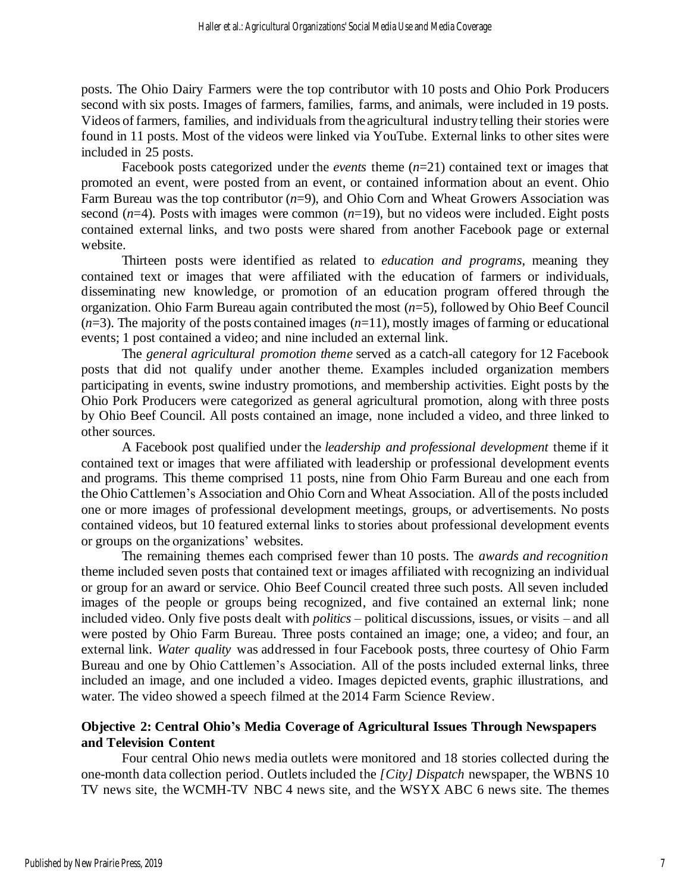posts. The Ohio Dairy Farmers were the top contributor with 10 posts and Ohio Pork Producers second with six posts. Images of farmers, families, farms, and animals, were included in 19 posts. Videos of farmers, families, and individuals from the agricultural industry telling their stories were found in 11 posts. Most of the videos were linked via YouTube. External links to other sites were included in 25 posts.

Facebook posts categorized under the *events* theme (*n*=21) contained text or images that promoted an event, were posted from an event, or contained information about an event. Ohio Farm Bureau was the top contributor (*n*=9), and Ohio Corn and Wheat Growers Association was second  $(n=4)$ . Posts with images were common  $(n=19)$ , but no videos were included. Eight posts contained external links, and two posts were shared from another Facebook page or external website.

Thirteen posts were identified as related to *education and programs*, meaning they contained text or images that were affiliated with the education of farmers or individuals, disseminating new knowledge, or promotion of an education program offered through the organization. Ohio Farm Bureau again contributed the most (*n*=5), followed by Ohio Beef Council  $(n=3)$ . The majority of the posts contained images  $(n=11)$ , mostly images of farming or educational events; 1 post contained a video; and nine included an external link.

The *general agricultural promotion theme* served as a catch-all category for 12 Facebook posts that did not qualify under another theme. Examples included organization members participating in events, swine industry promotions, and membership activities. Eight posts by the Ohio Pork Producers were categorized as general agricultural promotion, along with three posts by Ohio Beef Council. All posts contained an image, none included a video, and three linked to other sources.

A Facebook post qualified under the *leadership and professional development* theme if it contained text or images that were affiliated with leadership or professional development events and programs. This theme comprised 11 posts, nine from Ohio Farm Bureau and one each from the Ohio Cattlemen's Association and Ohio Corn and Wheat Association. All of the postsincluded one or more images of professional development meetings, groups, or advertisements. No posts contained videos, but 10 featured external links to stories about professional development events or groups on the organizations' websites.

The remaining themes each comprised fewer than 10 posts. The *awards and recognition* theme included seven posts that contained text or images affiliated with recognizing an individual or group for an award or service. Ohio Beef Council created three such posts. All seven included images of the people or groups being recognized, and five contained an external link; none included video. Only five posts dealt with *politics –* political discussions, issues, or visits – and all were posted by Ohio Farm Bureau. Three posts contained an image; one, a video; and four, an external link. *Water quality* was addressed in four Facebook posts, three courtesy of Ohio Farm Bureau and one by Ohio Cattlemen's Association. All of the posts included external links, three included an image, and one included a video. Images depicted events, graphic illustrations, and water. The video showed a speech filmed at the 2014 Farm Science Review.

#### **Objective 2: Central Ohio's Media Coverage of Agricultural Issues Through Newspapers and Television Content**

Four central Ohio news media outlets were monitored and 18 stories collected during the one-month data collection period. Outletsincluded the *[City] Dispatch* newspaper, the WBNS 10 TV news site, the WCMH-TV NBC 4 news site, and the WSYX ABC 6 news site. The themes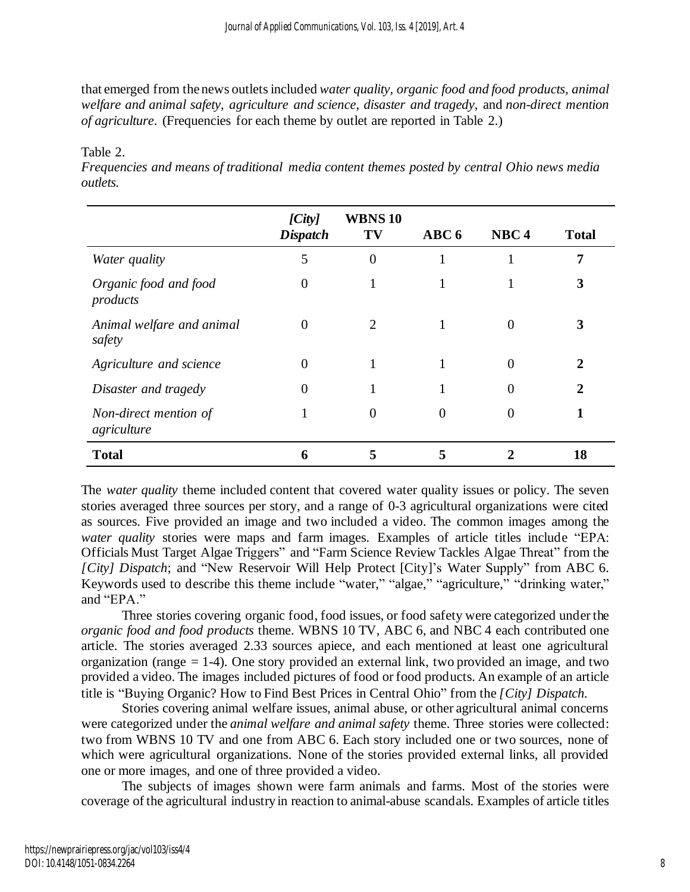that emerged from thenews outletsincluded *water quality*, *organic food and food products*, *animal welfare and animal safety*, *agriculture and science*, *disaster and tragedy*, and *non-direct mention of agriculture*. (Frequencies for each theme by outlet are reported in Table 2.)

|                                      | [City]<br><b>Dispatch</b> | WBNS <sub>10</sub><br>TV | ABC <sub>6</sub> | NBC <sub>4</sub> | <b>Total</b> |
|--------------------------------------|---------------------------|--------------------------|------------------|------------------|--------------|
| Water quality                        | 5                         | $\overline{0}$           |                  |                  | 7            |
| Organic food and food<br>products    | $\theta$                  |                          |                  |                  | 3            |
| Animal welfare and animal<br>safety  | $\theta$                  | 2                        |                  |                  |              |
| Agriculture and science              | $\theta$                  |                          |                  | $\theta$         | 2            |
| Disaster and tragedy                 | $\theta$                  | $\mathbf{I}$             |                  | $\theta$         | 2            |
| Non-direct mention of<br>agriculture |                           | $\theta$                 | 0                | $\theta$         |              |
| <b>Total</b>                         | 6                         | 5                        |                  |                  | 18           |

Table 2.

*Frequencies and means of traditional media content themes posted by central Ohio news media outlets.*

The *water quality* theme included content that covered water quality issues or policy. The seven stories averaged three sources per story, and a range of 0-3 agricultural organizations were cited as sources. Five provided an image and two included a video. The common images among the *water quality* stories were maps and farm images. Examples of article titles include "EPA: Officials Must Target Algae Triggers" and "Farm Science Review Tackles Algae Threat" from the *[City] Dispatch*; and "New Reservoir Will Help Protect [City]'s Water Supply" from ABC 6. Keywords used to describe this theme include "water," "algae," "agriculture," "drinking water," and "EPA."

Three stories covering organic food, food issues, or food safety were categorized under the *organic food and food products* theme. WBNS 10 TV, ABC 6, and NBC 4 each contributed one article. The stories averaged 2.33 sources apiece, and each mentioned at least one agricultural organization (range = 1-4). One story provided an external link, two provided an image, and two provided a video. The images included pictures of food orfood products. An example of an article title is "Buying Organic? How to Find Best Prices in Central Ohio" from the *[City] Dispatch.*

Stories covering animal welfare issues, animal abuse, or other agricultural animal concerns were categorized under the *animal welfare and animal safety* theme. Three stories were collected: two from WBNS 10 TV and one from ABC 6. Each story included one or two sources, none of which were agricultural organizations. None of the stories provided external links, all provided one or more images, and one of three provided a video.

The subjects of images shown were farm animals and farms. Most of the stories were coverage of the agricultural industry in reaction to animal-abuse scandals. Examples of article titles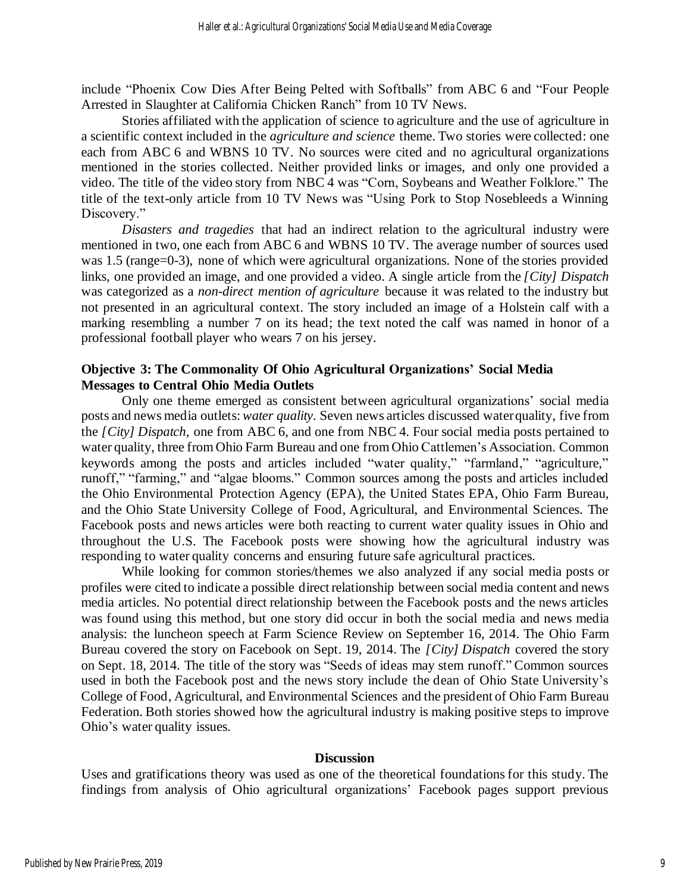include "Phoenix Cow Dies After Being Pelted with Softballs" from ABC 6 and "Four People Arrested in Slaughter at California Chicken Ranch" from 10 TV News.

Stories affiliated with the application of science to agriculture and the use of agriculture in a scientific context included in the *agriculture and science* theme. Two stories were collected: one each from ABC 6 and WBNS 10 TV. No sources were cited and no agricultural organizations mentioned in the stories collected. Neither provided links or images, and only one provided a video. The title of the video story from NBC 4 was "Corn, Soybeans and Weather Folklore." The title of the text-only article from 10 TV News was "Using Pork to Stop Nosebleeds a Winning Discovery."

*Disasters and tragedies* that had an indirect relation to the agricultural industry were mentioned in two, one each from ABC 6 and WBNS 10 TV. The average number of sources used was 1.5 (range=0-3), none of which were agricultural organizations. None of the stories provided links, one provided an image, and one provided a video. A single article from the *[City] Dispatch* was categorized as a *non-direct mention of agriculture* because it was related to the industry but not presented in an agricultural context. The story included an image of a Holstein calf with a marking resembling a number 7 on its head; the text noted the calf was named in honor of a professional football player who wears 7 on his jersey.

#### **Objective 3: The Commonality Of Ohio Agricultural Organizations' Social Media Messages to Central Ohio Media Outlets**

Only one theme emerged as consistent between agricultural organizations' social media posts and news media outlets:*water quality*. Seven news articles discussed waterquality, five from the *[City] Dispatch*, one from ABC 6, and one from NBC 4. Four social media posts pertained to water quality, three from Ohio Farm Bureau and one from Ohio Cattlemen's Association. Common keywords among the posts and articles included "water quality," "farmland," "agriculture," runoff," "farming," and "algae blooms." Common sources among the posts and articles included the Ohio Environmental Protection Agency (EPA), the United States EPA, Ohio Farm Bureau, and the Ohio State University College of Food, Agricultural, and Environmental Sciences. The Facebook posts and news articles were both reacting to current water quality issues in Ohio and throughout the U.S. The Facebook posts were showing how the agricultural industry was responding to water quality concerns and ensuring future safe agricultural practices.

While looking for common stories/themes we also analyzed if any social media posts or profiles were cited to indicate a possible direct relationship between social media content and news media articles. No potential direct relationship between the Facebook posts and the news articles was found using this method, but one story did occur in both the social media and news media analysis: the luncheon speech at Farm Science Review on September 16, 2014. The Ohio Farm Bureau covered the story on Facebook on Sept. 19, 2014. The *[City] Dispatch* covered the story on Sept. 18, 2014. The title of the story was "Seeds of ideas may stem runoff." Common sources used in both the Facebook post and the news story include the dean of Ohio State University's College of Food, Agricultural, and Environmental Sciences and the president of Ohio Farm Bureau Federation. Both stories showed how the agricultural industry is making positive steps to improve Ohio's water quality issues.

#### **Discussion**

Uses and gratifications theory was used as one of the theoretical foundations for this study. The findings from analysis of Ohio agricultural organizations' Facebook pages support previous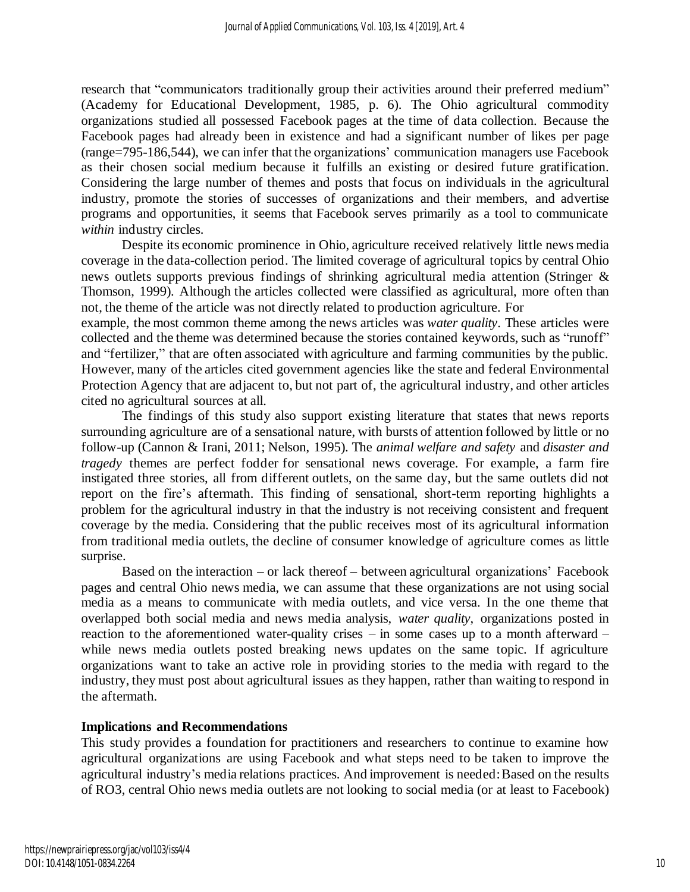research that "communicators traditionally group their activities around their preferred medium" (Academy for Educational Development, 1985, p. 6). The Ohio agricultural commodity organizations studied all possessed Facebook pages at the time of data collection. Because the Facebook pages had already been in existence and had a significant number of likes per page (range=795-186,544), we can infer that the organizations' communication managers use Facebook as their chosen social medium because it fulfills an existing or desired future gratification. Considering the large number of themes and posts that focus on individuals in the agricultural industry, promote the stories of successes of organizations and their members, and advertise programs and opportunities, it seems that Facebook serves primarily as a tool to communicate *within* industry circles.

Despite its economic prominence in Ohio, agriculture received relatively little news media coverage in the data-collection period. The limited coverage of agricultural topics by central Ohio news outlets supports previous findings of shrinking agricultural media attention (Stringer & Thomson, 1999). Although the articles collected were classified as agricultural, more often than not, the theme of the article was not directly related to production agriculture. For

example, the most common theme among the news articles was *water quality*. These articles were collected and the theme was determined because the stories contained keywords, such as "runoff" and "fertilizer," that are often associated with agriculture and farming communities by the public. However, many of the articles cited government agencies like the state and federal Environmental Protection Agency that are adjacent to, but not part of, the agricultural industry, and other articles cited no agricultural sources at all.

The findings of this study also support existing literature that states that news reports surrounding agriculture are of a sensational nature, with bursts of attention followed by little or no follow-up (Cannon & Irani, 2011; Nelson, 1995). The *animal welfare and safety* and *disaster and tragedy* themes are perfect fodder for sensational news coverage. For example, a farm fire instigated three stories, all from different outlets, on the same day, but the same outlets did not report on the fire's aftermath. This finding of sensational, short-term reporting highlights a problem for the agricultural industry in that the industry is not receiving consistent and frequent coverage by the media. Considering that the public receives most of its agricultural information from traditional media outlets, the decline of consumer knowledge of agriculture comes as little surprise.

Based on the interaction – or lack thereof – between agricultural organizations' Facebook pages and central Ohio news media, we can assume that these organizations are not using social media as a means to communicate with media outlets, and vice versa. In the one theme that overlapped both social media and news media analysis, *water quality*, organizations posted in reaction to the aforementioned water-quality crises – in some cases up to a month afterward – while news media outlets posted breaking news updates on the same topic. If agriculture organizations want to take an active role in providing stories to the media with regard to the industry, they must post about agricultural issues as they happen, rather than waiting to respond in the aftermath.

#### **Implications and Recommendations**

This study provides a foundation for practitioners and researchers to continue to examine how agricultural organizations are using Facebook and what steps need to be taken to improve the agricultural industry's media relations practices. And improvement is needed:Based on the results of RO3, central Ohio news media outlets are not looking to social media (or at least to Facebook)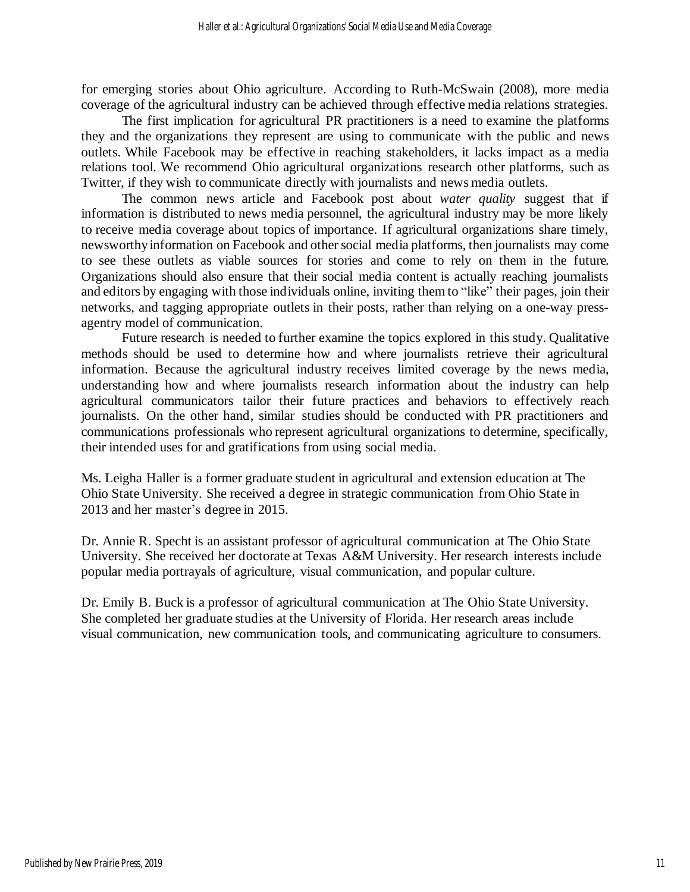for emerging stories about Ohio agriculture. According to Ruth-McSwain (2008), more media coverage of the agricultural industry can be achieved through effective media relations strategies.

The first implication for agricultural PR practitioners is a need to examine the platforms they and the organizations they represent are using to communicate with the public and news outlets. While Facebook may be effective in reaching stakeholders, it lacks impact as a media relations tool. We recommend Ohio agricultural organizations research other platforms, such as Twitter, if they wish to communicate directly with journalists and news media outlets.

The common news article and Facebook post about *water quality* suggest that if information is distributed to news media personnel, the agricultural industry may be more likely to receive media coverage about topics of importance. If agricultural organizations share timely, newsworthy information on Facebook and other social media platforms, then journalists may come to see these outlets as viable sources for stories and come to rely on them in the future. Organizations should also ensure that their social media content is actually reaching journalists and editors by engaging with those individuals online, inviting them to "like" their pages, join their networks, and tagging appropriate outlets in their posts, rather than relying on a one-way pressagentry model of communication.

Future research is needed to further examine the topics explored in this study. Qualitative methods should be used to determine how and where journalists retrieve their agricultural information. Because the agricultural industry receives limited coverage by the news media, understanding how and where journalists research information about the industry can help agricultural communicators tailor their future practices and behaviors to effectively reach journalists. On the other hand, similar studies should be conducted with PR practitioners and communications professionals who represent agricultural organizations to determine, specifically, their intended uses for and gratifications from using social media.

Ms. Leigha Haller is a former graduate student in agricultural and extension education at The Ohio State University. She received a degree in strategic communication from Ohio State in 2013 and her master's degree in 2015.

Dr. Annie R. Specht is an assistant professor of agricultural communication at The Ohio State University. She received her doctorate at Texas A&M University. Her research interests include popular media portrayals of agriculture, visual communication, and popular culture.

Dr. Emily B. Buck is a professor of agricultural communication at The Ohio State University. She completed her graduate studies at the University of Florida. Her research areas include visual communication, new communication tools, and communicating agriculture to consumers.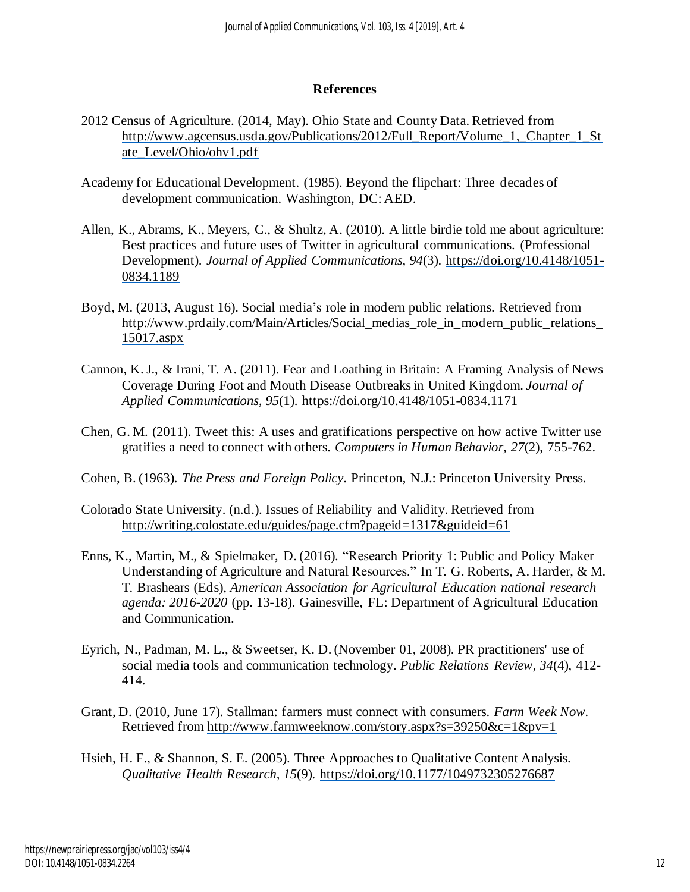#### **References**

- 2012 Census of Agriculture. (2014, May). Ohio State and County Data. Retrieved from http://www.agcensus.usda.gov/Publications/2012/Full\_Report/Volume\_1,\_Chapter\_1\_St ate\_Level/Ohio/ohv1.pdf
- Academy for Educational Development. (1985). Beyond the flipchart: Three decades of development communication. Washington, DC: AED.
- Allen, K., Abrams, K., Meyers, C., & Shultz, A. (2010). A little birdie told me about agriculture: Best practices and future uses of Twitter in agricultural communications. (Professional Development). *Journal of Applied Communications, 94*(3). https://doi.org/10.4148/1051- 0834.1189
- Boyd, M. (2013, August 16). Social media's role in modern public relations. Retrieved from http://www.prdaily.com/Main/Articles/Social\_medias\_role\_in\_modern\_public\_relations 15017.aspx
- Cannon, K.J., & Irani, T. A. (2011). Fear and Loathing in Britain: A Framing Analysis of News Coverage During Foot and Mouth Disease Outbreaksin United Kingdom. *Journal of Applied Communications, 95*(1). https://doi.org/10.4148/1051-0834.1171
- Chen, G. M. (2011). Tweet this: A uses and gratifications perspective on how active Twitter use gratifies a need to connect with others. *Computers in Human Behavior, 27*(2), 755-762.
- Cohen, B. (1963). *The Press and Foreign Policy*. Princeton, N.J.: Princeton University Press.
- Colorado State University. (n.d.). Issues of Reliability and Validity. Retrieved from http://writing.colostate.edu/guides/page.cfm?pageid=1317&guideid=61
- Enns, K., Martin, M., & Spielmaker, D. (2016). "Research Priority 1: Public and Policy Maker Understanding of Agriculture and Natural Resources." In T. G. Roberts, A. Harder, & M. T. Brashears (Eds), *American Association for Agricultural Education national research agenda: 2016-2020* (pp. 13-18). Gainesville, FL: Department of Agricultural Education and Communication.
- Eyrich, N., Padman, M. L., & Sweetser, K. D. (November 01, 2008). PR practitioners' use of social media tools and communication technology. *Public Relations Review, 34*(4), 412- 414.
- Grant, D. (2010, June 17). Stallman: farmers must connect with consumers. *Farm Week Now.* Retrieved from http://www.farmweeknow.com/story.aspx?s=39250&c=1&pv=1
- Hsieh, H. F., & Shannon, S. E. (2005). Three Approaches to Qualitative Content Analysis. *Qualitative Health Research, 15*(9). https://doi.org/10.1177/1049732305276687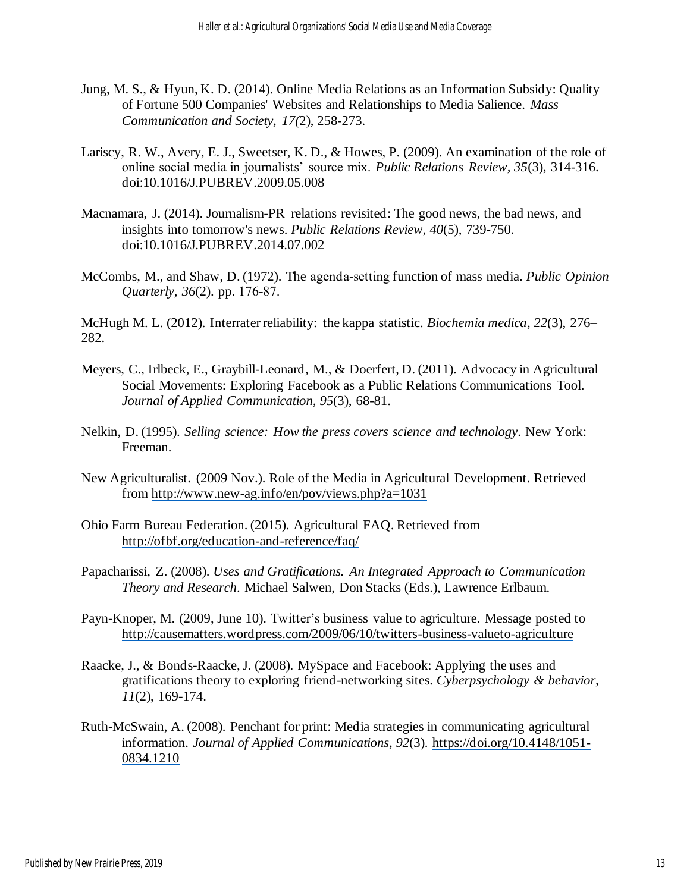- Jung, M. S., & Hyun, K. D. (2014). Online Media Relations as an Information Subsidy: Quality of Fortune 500 Companies' Websites and Relationships to Media Salience. *Mass Communication and Society, 17(*2), 258-273.
- Lariscy, R. W., Avery, E. J., Sweetser, K. D., & Howes, P. (2009). An examination of the role of online social media in journalists' source mix. *Public Relations Review, 35*(3), 314-316. doi:10.1016/J.PUBREV.2009.05.008
- Macnamara, J. (2014). Journalism-PR relations revisited: The good news, the bad news, and insights into tomorrow's news. *Public Relations Review, 40*(5), 739-750. doi:10.1016/J.PUBREV.2014.07.002
- McCombs, M., and Shaw, D. (1972). The agenda‐setting function of mass media. *Public Opinion Quarterly, 36*(2). pp. 176‐87.

McHugh M. L. (2012). Interrater reliability: the kappa statistic. *Biochemia medica*, *22*(3), 276– 282.

- Meyers, C., Irlbeck, E., Graybill-Leonard, M., & Doerfert, D. (2011). Advocacy in Agricultural Social Movements: Exploring Facebook as a Public Relations Communications Tool. *Journal of Applied Communication, 95*(3), 68-81.
- Nelkin, D. (1995). *Selling science: How the press covers science and technology*. New York: Freeman.
- New Agriculturalist. (2009 Nov.). Role of the Media in Agricultural Development. Retrieved from http://www.new-ag.info/en/pov/views.php?a=1031
- Ohio Farm Bureau Federation. (2015). Agricultural FAQ. Retrieved from http://ofbf.org/education-and-reference/faq/
- Papacharissi, Z. (2008). *Uses and Gratifications. An Integrated Approach to Communication Theory and Research*. Michael Salwen, Don Stacks (Eds.), Lawrence Erlbaum.
- Payn-Knoper, M. (2009, June 10). Twitter's business value to agriculture. Message posted to http://causematters.wordpress.com/2009/06/10/twitters-business-valueto-agriculture
- Raacke, J., & Bonds-Raacke,J. (2008). MySpace and Facebook: Applying the uses and gratifications theory to exploring friend-networking sites. *Cyberpsychology & behavior, 11*(2), 169-174.
- Ruth-McSwain, A. (2008). Penchant for print: Media strategies in communicating agricultural information. *Journal of Applied Communications*, *92*(3). https://doi.org/10.4148/1051- 0834.1210